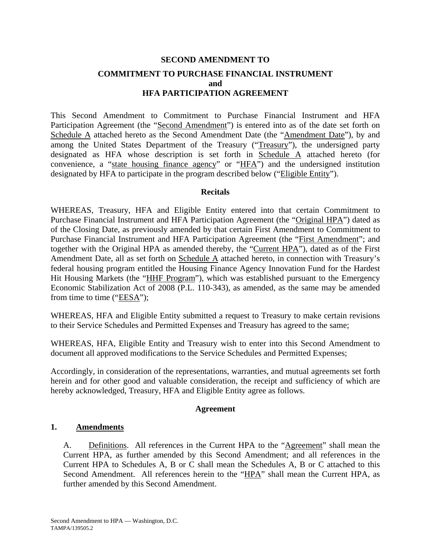# **SECOND AMENDMENT TO COMMITMENT TO PURCHASE FINANCIAL INSTRUMENT and HFA PARTICIPATION AGREEMENT**

This Second Amendment to Commitment to Purchase Financial Instrument and HFA Participation Agreement (the "Second Amendment") is entered into as of the date set forth on Schedule A attached hereto as the Second Amendment Date (the "Amendment Date"), by and among the United States Department of the Treasury ("Treasury"), the undersigned party designated as HFA whose description is set forth in Schedule A attached hereto (for convenience, a "state housing finance agency" or "HFA") and the undersigned institution designated by HFA to participate in the program described below ("Eligible Entity").

#### **Recitals**

WHEREAS, Treasury, HFA and Eligible Entity entered into that certain Commitment to Purchase Financial Instrument and HFA Participation Agreement (the "Original HPA") dated as of the Closing Date, as previously amended by that certain First Amendment to Commitment to Purchase Financial Instrument and HFA Participation Agreement (the "First Amendment"; and together with the Original HPA as amended thereby, the "Current HPA"), dated as of the First Amendment Date, all as set forth on Schedule A attached hereto, in connection with Treasury's federal housing program entitled the Housing Finance Agency Innovation Fund for the Hardest Hit Housing Markets (the "HHF Program"), which was established pursuant to the Emergency Economic Stabilization Act of 2008 (P.L. 110-343), as amended, as the same may be amended from time to time ("EESA");

WHEREAS, HFA and Eligible Entity submitted a request to Treasury to make certain revisions to their Service Schedules and Permitted Expenses and Treasury has agreed to the same;

WHEREAS, HFA, Eligible Entity and Treasury wish to enter into this Second Amendment to document all approved modifications to the Service Schedules and Permitted Expenses;

Accordingly, in consideration of the representations, warranties, and mutual agreements set forth herein and for other good and valuable consideration, the receipt and sufficiency of which are hereby acknowledged, Treasury, HFA and Eligible Entity agree as follows.

#### **Agreement**

#### **1. Amendments**

A. Definitions. All references in the Current HPA to the "Agreement" shall mean the Current HPA, as further amended by this Second Amendment; and all references in the Current HPA to Schedules A, B or C shall mean the Schedules A, B or C attached to this Second Amendment. All references herein to the "HPA" shall mean the Current HPA, as further amended by this Second Amendment.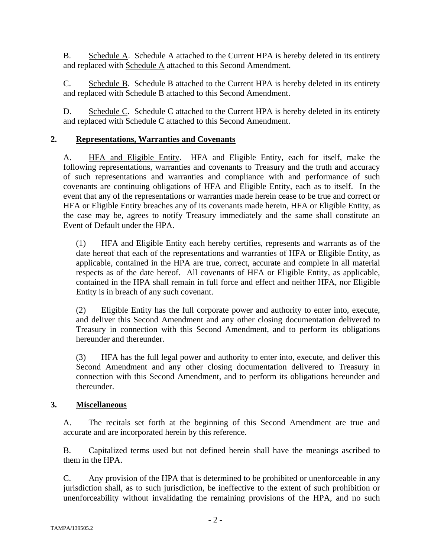B. Schedule A. Schedule A attached to the Current HPA is hereby deleted in its entirety and replaced with Schedule A attached to this Second Amendment.

C. Schedule B. Schedule B attached to the Current HPA is hereby deleted in its entirety and replaced with Schedule B attached to this Second Amendment.

D. Schedule C. Schedule C attached to the Current HPA is hereby deleted in its entirety and replaced with Schedule C attached to this Second Amendment.

## **2. Representations, Warranties and Covenants**

A. HFA and Eligible Entity. HFA and Eligible Entity, each for itself, make the following representations, warranties and covenants to Treasury and the truth and accuracy of such representations and warranties and compliance with and performance of such covenants are continuing obligations of HFA and Eligible Entity, each as to itself. In the event that any of the representations or warranties made herein cease to be true and correct or HFA or Eligible Entity breaches any of its covenants made herein, HFA or Eligible Entity, as the case may be, agrees to notify Treasury immediately and the same shall constitute an Event of Default under the HPA.

(1) HFA and Eligible Entity each hereby certifies, represents and warrants as of the date hereof that each of the representations and warranties of HFA or Eligible Entity, as applicable, contained in the HPA are true, correct, accurate and complete in all material respects as of the date hereof. All covenants of HFA or Eligible Entity, as applicable, contained in the HPA shall remain in full force and effect and neither HFA, nor Eligible Entity is in breach of any such covenant.

(2) Eligible Entity has the full corporate power and authority to enter into, execute, and deliver this Second Amendment and any other closing documentation delivered to Treasury in connection with this Second Amendment, and to perform its obligations hereunder and thereunder.

(3) HFA has the full legal power and authority to enter into, execute, and deliver this Second Amendment and any other closing documentation delivered to Treasury in connection with this Second Amendment, and to perform its obligations hereunder and thereunder.

## **3. Miscellaneous**

A. The recitals set forth at the beginning of this Second Amendment are true and accurate and are incorporated herein by this reference.

B. Capitalized terms used but not defined herein shall have the meanings ascribed to them in the HPA.

C. Any provision of the HPA that is determined to be prohibited or unenforceable in any jurisdiction shall, as to such jurisdiction, be ineffective to the extent of such prohibition or unenforceability without invalidating the remaining provisions of the HPA, and no such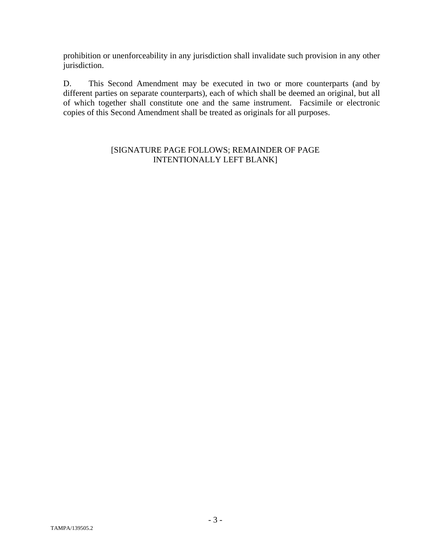prohibition or unenforceability in any jurisdiction shall invalidate such provision in any other jurisdiction.

D. This Second Amendment may be executed in two or more counterparts (and by different parties on separate counterparts), each of which shall be deemed an original, but all of which together shall constitute one and the same instrument. Facsimile or electronic copies of this Second Amendment shall be treated as originals for all purposes.

### [SIGNATURE PAGE FOLLOWS; REMAINDER OF PAGE INTENTIONALLY LEFT BLANK]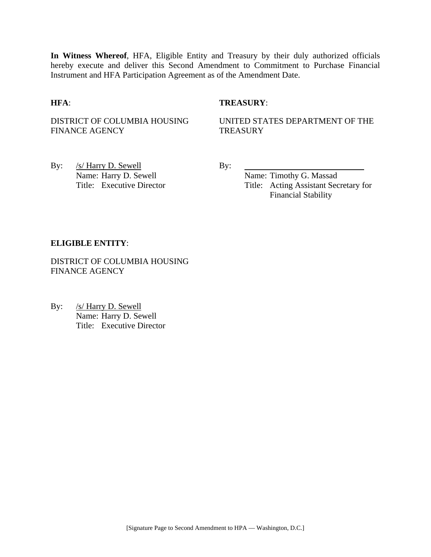**In Witness Whereof**, HFA, Eligible Entity and Treasury by their duly authorized officials hereby execute and deliver this Second Amendment to Commitment to Purchase Financial Instrument and HFA Participation Agreement as of the Amendment Date.

#### **HFA**: **TREASURY**:

DISTRICT OF COLUMBIA HOUSING FINANCE AGENCY

UNITED STATES DEPARTMENT OF THE **TREASURY** 

By: <u>/s/ Harry D. Sewell</u> By: Name: Harry D. Sewell By:

Name: Timothy G. Massad Title: Executive Director Title: Acting Assistant Secretary for Financial Stability

#### **ELIGIBLE ENTITY**:

DISTRICT OF COLUMBIA HOUSING FINANCE AGENCY

By: /s/ Harry D. Sewell Name: Harry D. Sewell Title: Executive Director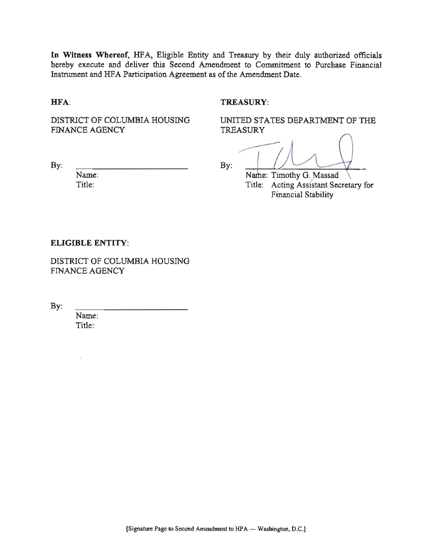In Witness Whereof, HFA, Eligible Entity and Treasury by their duly authorized officials hereby execute and deliver this Second Amendment to Commitment to Purchase Financial Instrument and HFA Participation Agreement as of the Amendment Date.

HFA:

#### TREASURY:

DISTRICT OF COLUMBIA HOUSING FINANCE AGENCY

UNITED STATES DEPARTMENT OF THE TREASURY

 $By:$ 

 $By:$ 

Name: Title:

Name: Timothy G. Massad Title: Acting Assistant Secretary for **Financial Stability** 

#### **ELIGIBLE ENTITY:**

DISTRICT OF COLUMBIA HOUSING **FINANCE AGENCY** 

By:

Name: Title: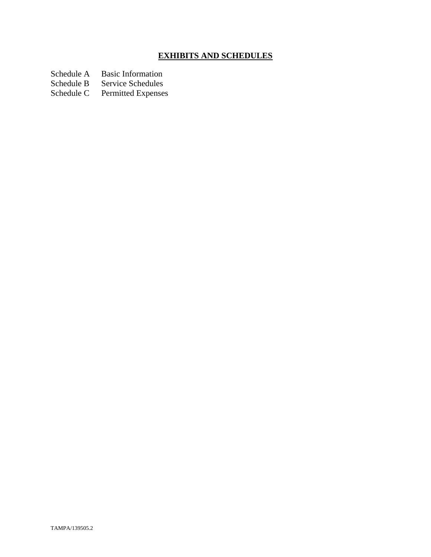# **EXHIBITS AND SCHEDULES**

Schedule A Basic Information<br>Schedule B Service Schedules

Schedule B Service Schedules<br>Schedule C Permitted Expenses

Permitted Expenses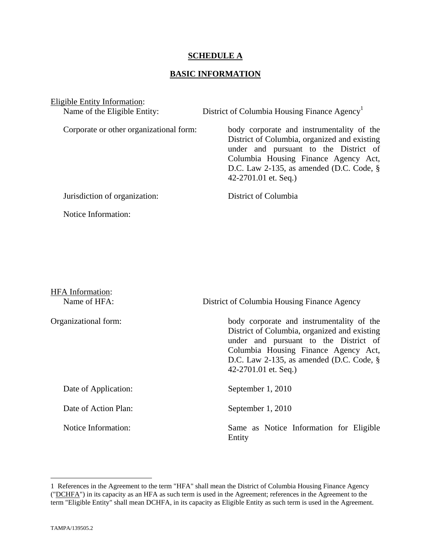#### **SCHEDULE A**

### **BASIC INFORMATION**

Eligible Entity Information:

Name of the Eligible Entity: District of Columbia Housing Finance Agency<sup>1</sup> Corporate or other organizational form: body corporate and instrumentality of the District of Columbia, organized and existing under and pursuant to the District of Columbia Housing Finance Agency Act, D.C. Law 2-135, as amended (D.C. Code, § 42-2701.01 et. Seq.) Jurisdiction of organization: District of Columbia Notice Information:

| <b>HFA</b> Information:<br>Name of HFA: | District of Columbia Housing Finance Agency                                                                                                                                                                                                         |
|-----------------------------------------|-----------------------------------------------------------------------------------------------------------------------------------------------------------------------------------------------------------------------------------------------------|
| Organizational form:                    | body corporate and instrumentality of the<br>District of Columbia, organized and existing<br>under and pursuant to the District of<br>Columbia Housing Finance Agency Act,<br>D.C. Law 2-135, as amended (D.C. Code, $\S$ )<br>42-2701.01 et. Seq.) |
| Date of Application:                    | September 1, 2010                                                                                                                                                                                                                                   |
| Date of Action Plan:                    | September 1, 2010                                                                                                                                                                                                                                   |
| Notice Information:                     | Same as Notice Information for Eligible<br>Entity                                                                                                                                                                                                   |

1

<sup>1</sup> References in the Agreement to the term "HFA" shall mean the District of Columbia Housing Finance Agency ("DCHFA") in its capacity as an HFA as such term is used in the Agreement; references in the Agreement to the term "Eligible Entity" shall mean DCHFA, in its capacity as Eligible Entity as such term is used in the Agreement.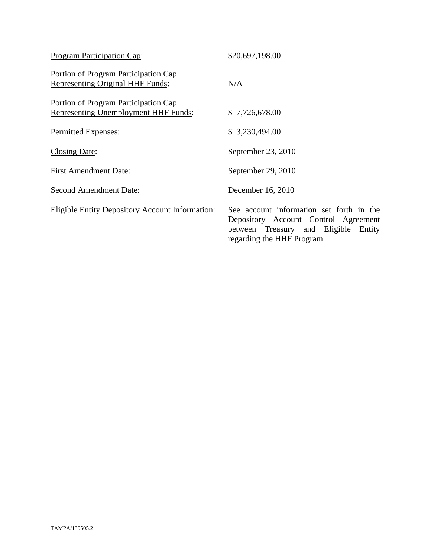| Program Participation Cap:                                                          | \$20,697,198.00                                                                                                                                        |
|-------------------------------------------------------------------------------------|--------------------------------------------------------------------------------------------------------------------------------------------------------|
| Portion of Program Participation Cap<br>Representing Original HHF Funds:            | N/A                                                                                                                                                    |
| Portion of Program Participation Cap<br><b>Representing Unemployment HHF Funds:</b> | \$7,726,678.00                                                                                                                                         |
| Permitted Expenses:                                                                 | \$3,230,494.00                                                                                                                                         |
| <b>Closing Date:</b>                                                                | September 23, 2010                                                                                                                                     |
| <b>First Amendment Date:</b>                                                        | September 29, 2010                                                                                                                                     |
| <b>Second Amendment Date:</b>                                                       | December 16, 2010                                                                                                                                      |
| <b>Eligible Entity Depository Account Information:</b>                              | See account information set forth in the<br>Depository Account Control Agreement<br>between Treasury and Eligible Entity<br>regarding the HHF Program. |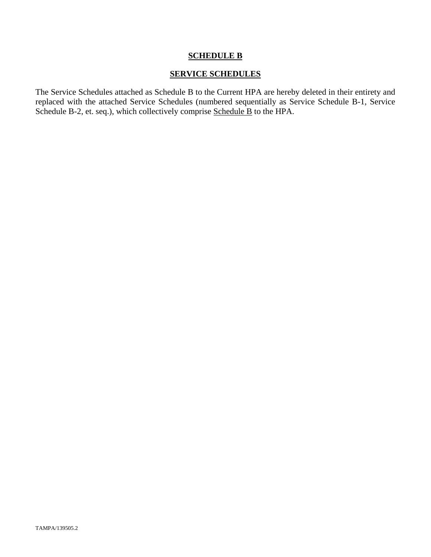#### **SCHEDULE B**

### **SERVICE SCHEDULES**

The Service Schedules attached as Schedule B to the Current HPA are hereby deleted in their entirety and replaced with the attached Service Schedules (numbered sequentially as Service Schedule B-1, Service Schedule B-2, et. seq.), which collectively comprise Schedule B to the HPA.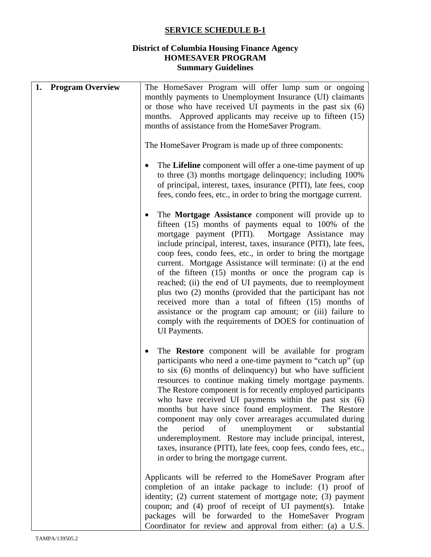## **SERVICE SCHEDULE B-1**

## **District of Columbia Housing Finance Agency HOMESAVER PROGRAM Summary Guidelines**

| 1. | <b>Program Overview</b> | The HomeSaver Program will offer lump sum or ongoing                                                                                                                                                                                                                                                                                                                                                                                                                                                                                                                                                                                                                                                                                                            |
|----|-------------------------|-----------------------------------------------------------------------------------------------------------------------------------------------------------------------------------------------------------------------------------------------------------------------------------------------------------------------------------------------------------------------------------------------------------------------------------------------------------------------------------------------------------------------------------------------------------------------------------------------------------------------------------------------------------------------------------------------------------------------------------------------------------------|
|    |                         | monthly payments to Unemployment Insurance (UI) claimants                                                                                                                                                                                                                                                                                                                                                                                                                                                                                                                                                                                                                                                                                                       |
|    |                         | or those who have received UI payments in the past six (6)                                                                                                                                                                                                                                                                                                                                                                                                                                                                                                                                                                                                                                                                                                      |
|    |                         | months. Approved applicants may receive up to fifteen (15)                                                                                                                                                                                                                                                                                                                                                                                                                                                                                                                                                                                                                                                                                                      |
|    |                         | months of assistance from the HomeSaver Program.                                                                                                                                                                                                                                                                                                                                                                                                                                                                                                                                                                                                                                                                                                                |
|    |                         | The HomeSaver Program is made up of three components:                                                                                                                                                                                                                                                                                                                                                                                                                                                                                                                                                                                                                                                                                                           |
|    |                         | The Lifeline component will offer a one-time payment of up<br>to three (3) months mortgage delinquency; including 100%<br>of principal, interest, taxes, insurance (PITI), late fees, coop<br>fees, condo fees, etc., in order to bring the mortgage current.                                                                                                                                                                                                                                                                                                                                                                                                                                                                                                   |
|    |                         | The Mortgage Assistance component will provide up to<br>٠<br>fifteen (15) months of payments equal to 100% of the<br>Mortgage Assistance may<br>mortgage payment (PITI).<br>include principal, interest, taxes, insurance (PITI), late fees,<br>coop fees, condo fees, etc., in order to bring the mortgage<br>current. Mortgage Assistance will terminate: (i) at the end<br>of the fifteen (15) months or once the program cap is<br>reached; (ii) the end of UI payments, due to reemployment<br>plus two (2) months (provided that the participant has not<br>received more than a total of fifteen (15) months of<br>assistance or the program cap amount; or (iii) failure to<br>comply with the requirements of DOES for continuation of<br>UI Payments. |
|    |                         | The Restore component will be available for program<br>participants who need a one-time payment to "catch up" (up<br>to six (6) months of delinquency) but who have sufficient<br>resources to continue making timely mortgage payments.<br>The Restore component is for recently employed participants<br>who have received UI payments within the past $s$ ix $(6)$<br>months but have since found employment. The Restore<br>component may only cover arrearages accumulated during<br>unemployment<br>period<br>the<br>of<br>substantial<br><b>or</b><br>underemployment. Restore may include principal, interest,<br>taxes, insurance (PITI), late fees, coop fees, condo fees, etc.,<br>in order to bring the mortgage current.                           |
|    |                         | Applicants will be referred to the HomeSaver Program after<br>completion of an intake package to include: (1) proof of<br>identity; (2) current statement of mortgage note; (3) payment<br>coupon; and $(4)$ proof of receipt of UI payment(s).<br>Intake<br>packages will be forwarded to the HomeSaver Program<br>Coordinator for review and approval from either: (a) a U.S.                                                                                                                                                                                                                                                                                                                                                                                 |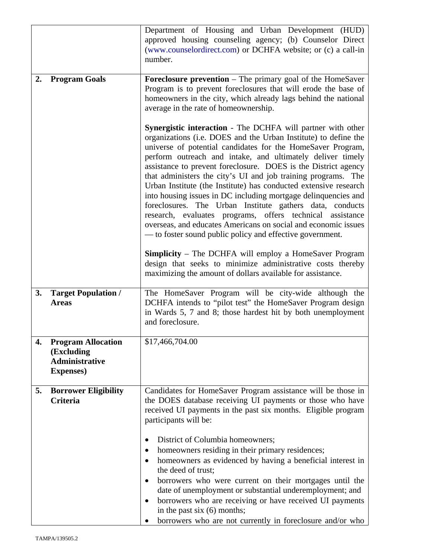|    |                                                                                       | Department of Housing and Urban Development (HUD)<br>approved housing counseling agency; (b) Counselor Direct<br>(www.counselordirect.com) or DCHFA website; or (c) a call-in<br>number.                                                                                                                                                                                                                                                                                                                                                                                                                                                                                                                                                                                                                                                                                                                                                                                                  |
|----|---------------------------------------------------------------------------------------|-------------------------------------------------------------------------------------------------------------------------------------------------------------------------------------------------------------------------------------------------------------------------------------------------------------------------------------------------------------------------------------------------------------------------------------------------------------------------------------------------------------------------------------------------------------------------------------------------------------------------------------------------------------------------------------------------------------------------------------------------------------------------------------------------------------------------------------------------------------------------------------------------------------------------------------------------------------------------------------------|
| 2. | <b>Program Goals</b>                                                                  | <b>Foreclosure prevention</b> – The primary goal of the HomeSaver<br>Program is to prevent foreclosures that will erode the base of<br>homeowners in the city, which already lags behind the national<br>average in the rate of homeownership.                                                                                                                                                                                                                                                                                                                                                                                                                                                                                                                                                                                                                                                                                                                                            |
|    |                                                                                       | Synergistic interaction - The DCHFA will partner with other<br>organizations (i.e. DOES and the Urban Institute) to define the<br>universe of potential candidates for the HomeSaver Program,<br>perform outreach and intake, and ultimately deliver timely<br>assistance to prevent foreclosure. DOES is the District agency<br>that administers the city's UI and job training programs. The<br>Urban Institute (the Institute) has conducted extensive research<br>into housing issues in DC including mortgage delinquencies and<br>foreclosures. The Urban Institute gathers data, conducts<br>research, evaluates programs, offers technical assistance<br>overseas, and educates Americans on social and economic issues<br>— to foster sound public policy and effective government.<br><b>Simplicity</b> – The DCHFA will employ a HomeSaver Program<br>design that seeks to minimize administrative costs thereby<br>maximizing the amount of dollars available for assistance. |
|    |                                                                                       |                                                                                                                                                                                                                                                                                                                                                                                                                                                                                                                                                                                                                                                                                                                                                                                                                                                                                                                                                                                           |
| 3. | <b>Target Population /</b><br><b>Areas</b>                                            | The HomeSaver Program will be city-wide although the<br>DCHFA intends to "pilot test" the HomeSaver Program design<br>in Wards 5, 7 and 8; those hardest hit by both unemployment<br>and foreclosure.                                                                                                                                                                                                                                                                                                                                                                                                                                                                                                                                                                                                                                                                                                                                                                                     |
| 4. | <b>Program Allocation</b><br>(Excluding<br><b>Administrative</b><br><b>Expenses</b> ) | \$17,466,704.00                                                                                                                                                                                                                                                                                                                                                                                                                                                                                                                                                                                                                                                                                                                                                                                                                                                                                                                                                                           |
| 5. | <b>Borrower Eligibility</b><br>Criteria                                               | Candidates for HomeSaver Program assistance will be those in<br>the DOES database receiving UI payments or those who have<br>received UI payments in the past six months. Eligible program<br>participants will be:                                                                                                                                                                                                                                                                                                                                                                                                                                                                                                                                                                                                                                                                                                                                                                       |
|    |                                                                                       | District of Columbia homeowners;<br>$\bullet$<br>homeowners residing in their primary residences;<br>٠<br>homeowners as evidenced by having a beneficial interest in<br>$\bullet$<br>the deed of trust;<br>borrowers who were current on their mortgages until the<br>$\bullet$<br>date of unemployment or substantial underemployment; and<br>borrowers who are receiving or have received UI payments<br>$\bullet$<br>in the past six $(6)$ months;<br>borrowers who are not currently in foreclosure and/or who                                                                                                                                                                                                                                                                                                                                                                                                                                                                        |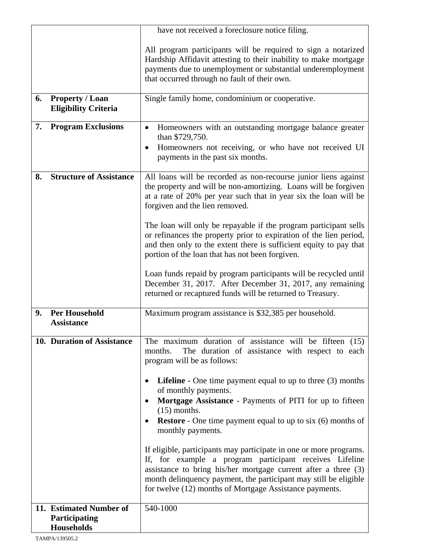|    |                                                       | have not received a foreclosure notice filing.                                                                                                                                                                                                                  |  |
|----|-------------------------------------------------------|-----------------------------------------------------------------------------------------------------------------------------------------------------------------------------------------------------------------------------------------------------------------|--|
|    |                                                       | All program participants will be required to sign a notarized<br>Hardship Affidavit attesting to their inability to make mortgage<br>payments due to unemployment or substantial underemployment<br>that occurred through no fault of their own.                |  |
| 6. | <b>Property / Loan</b><br><b>Eligibility Criteria</b> | Single family home, condominium or cooperative.                                                                                                                                                                                                                 |  |
| 7. | <b>Program Exclusions</b>                             | Homeowners with an outstanding mortgage balance greater<br>$\bullet$<br>than \$729,750.<br>Homeowners not receiving, or who have not received UI<br>payments in the past six months.                                                                            |  |
| 8. | <b>Structure of Assistance</b>                        | All loans will be recorded as non-recourse junior liens against<br>the property and will be non-amortizing. Loans will be forgiven<br>at a rate of 20% per year such that in year six the loan will be<br>forgiven and the lien removed.                        |  |
|    |                                                       | The loan will only be repayable if the program participant sells<br>or refinances the property prior to expiration of the lien period,<br>and then only to the extent there is sufficient equity to pay that<br>portion of the loan that has not been forgiven. |  |
|    |                                                       | Loan funds repaid by program participants will be recycled until<br>December 31, 2017. After December 31, 2017, any remaining<br>returned or recaptured funds will be returned to Treasury.                                                                     |  |
| 9. | <b>Per Household</b><br><b>Assistance</b>             | Maximum program assistance is \$32,385 per household.                                                                                                                                                                                                           |  |
|    | 10. Duration of Assistance                            | The maximum duration of assistance will be fifteen (15)<br>The duration of assistance with respect to each<br>months.<br>program will be as follows:                                                                                                            |  |
|    |                                                       | <b>Lifeline</b> - One time payment equal to up to three $(3)$ months<br>٠<br>of monthly payments.<br>Mortgage Assistance - Payments of PITI for up to fifteen<br>$(15)$ months.<br><b>Restore</b> - One time payment equal to up to six (6) months of           |  |
|    |                                                       | monthly payments.<br>If eligible, participants may participate in one or more programs.                                                                                                                                                                         |  |
|    |                                                       | If, for example a program participant receives Lifeline<br>assistance to bring his/her mortgage current after a three (3)<br>month delinquency payment, the participant may still be eligible<br>for twelve (12) months of Mortgage Assistance payments.        |  |
|    | 11. Estimated Number of                               | 540-1000                                                                                                                                                                                                                                                        |  |
|    | Participating<br><b>Households</b>                    |                                                                                                                                                                                                                                                                 |  |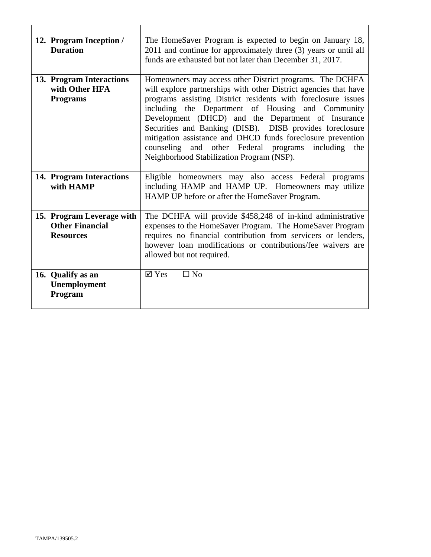| 12. Program Inception /<br><b>Duration</b>                              | The HomeSaver Program is expected to begin on January 18,<br>2011 and continue for approximately three (3) years or until all<br>funds are exhausted but not later than December 31, 2017.                                                                                                                                                                                                                                                                                                                                                 |
|-------------------------------------------------------------------------|--------------------------------------------------------------------------------------------------------------------------------------------------------------------------------------------------------------------------------------------------------------------------------------------------------------------------------------------------------------------------------------------------------------------------------------------------------------------------------------------------------------------------------------------|
| 13. Program Interactions<br>with Other HFA<br><b>Programs</b>           | Homeowners may access other District programs. The DCHFA<br>will explore partnerships with other District agencies that have<br>programs assisting District residents with foreclosure issues<br>including the Department of Housing and Community<br>Development (DHCD) and the Department of Insurance<br>Securities and Banking (DISB). DISB provides foreclosure<br>mitigation assistance and DHCD funds foreclosure prevention<br>counseling and other Federal programs including<br>the<br>Neighborhood Stabilization Program (NSP). |
| 14. Program Interactions<br>with HAMP                                   | Eligible homeowners may also access Federal programs<br>including HAMP and HAMP UP. Homeowners may utilize<br>HAMP UP before or after the HomeSaver Program.                                                                                                                                                                                                                                                                                                                                                                               |
| 15. Program Leverage with<br><b>Other Financial</b><br><b>Resources</b> | The DCHFA will provide \$458,248 of in-kind administrative<br>expenses to the HomeSaver Program. The HomeSaver Program<br>requires no financial contribution from servicers or lenders,<br>however loan modifications or contributions/fee waivers are<br>allowed but not required.                                                                                                                                                                                                                                                        |
| 16. Qualify as an<br>Unemployment<br>Program                            | $\overline{\mathsf{Y}}$ Yes<br>$\Box$ No                                                                                                                                                                                                                                                                                                                                                                                                                                                                                                   |